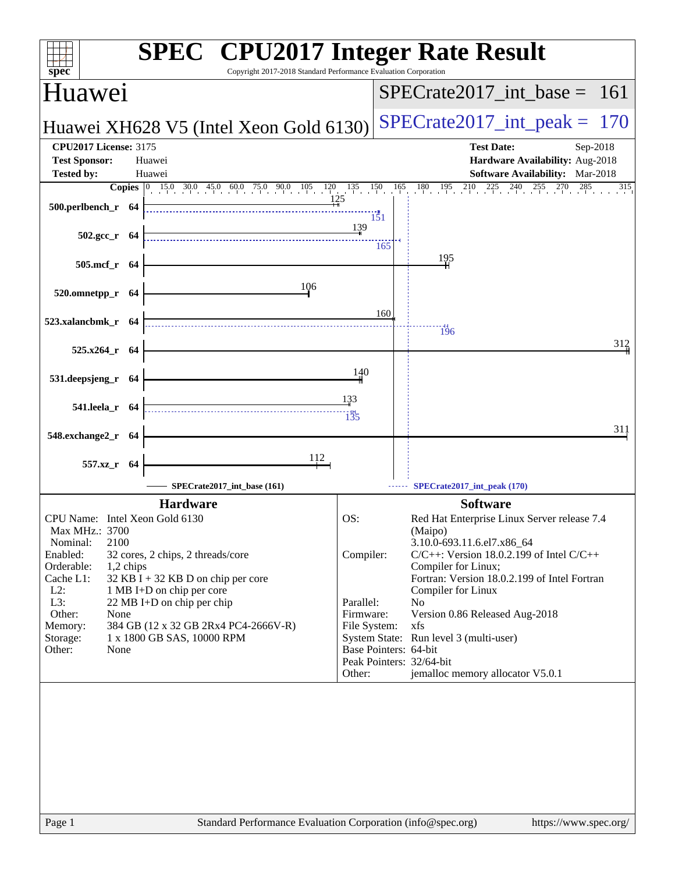| spec <sup>®</sup>                                                                                                                                                                                    | <b>SPEC<sup>®</sup></b> CPU2017 Integer Rate Result<br>Copyright 2017-2018 Standard Performance Evaluation Corporation                                                                                                        |                                                                                                                           |                                                                                                                                                                                                                                                                                                                                                                                    |
|------------------------------------------------------------------------------------------------------------------------------------------------------------------------------------------------------|-------------------------------------------------------------------------------------------------------------------------------------------------------------------------------------------------------------------------------|---------------------------------------------------------------------------------------------------------------------------|------------------------------------------------------------------------------------------------------------------------------------------------------------------------------------------------------------------------------------------------------------------------------------------------------------------------------------------------------------------------------------|
| Huawei                                                                                                                                                                                               |                                                                                                                                                                                                                               |                                                                                                                           | $SPECTate2017\_int\_base = 161$                                                                                                                                                                                                                                                                                                                                                    |
|                                                                                                                                                                                                      | Huawei XH628 V5 (Intel Xeon Gold 6130)                                                                                                                                                                                        |                                                                                                                           | $SPECrate2017\_int\_peak =$<br>170                                                                                                                                                                                                                                                                                                                                                 |
| <b>CPU2017 License: 3175</b><br><b>Test Sponsor:</b><br><b>Tested by:</b>                                                                                                                            | Huawei<br>Huawei                                                                                                                                                                                                              |                                                                                                                           | <b>Test Date:</b><br>Sep-2018<br>Hardware Availability: Aug-2018<br>Software Availability: Mar-2018                                                                                                                                                                                                                                                                                |
|                                                                                                                                                                                                      | <b>Copies</b> 0 15.0 30.0 45.0 60.0 75.0 90.0 105 120 135 150                                                                                                                                                                 |                                                                                                                           | $180$ $195$ $210$ $225$ $240$<br>$^{255}$<br>$\frac{270}{1}$ 285<br>165<br>315                                                                                                                                                                                                                                                                                                     |
| 500.perlbench_r 64                                                                                                                                                                                   | 125                                                                                                                                                                                                                           | 151<br>139                                                                                                                |                                                                                                                                                                                                                                                                                                                                                                                    |
| $502.\text{gcc r}$ 64                                                                                                                                                                                |                                                                                                                                                                                                                               | 165                                                                                                                       | 195                                                                                                                                                                                                                                                                                                                                                                                |
| 505.mcf_r 64<br>520.omnetpp_r 64                                                                                                                                                                     | 106                                                                                                                                                                                                                           |                                                                                                                           |                                                                                                                                                                                                                                                                                                                                                                                    |
| 523.xalancbmk_r 64                                                                                                                                                                                   |                                                                                                                                                                                                                               | 160                                                                                                                       |                                                                                                                                                                                                                                                                                                                                                                                    |
| 525.x264_r 64                                                                                                                                                                                        |                                                                                                                                                                                                                               |                                                                                                                           | 196<br>312                                                                                                                                                                                                                                                                                                                                                                         |
| 531.deepsjeng_r 64                                                                                                                                                                                   |                                                                                                                                                                                                                               | 140                                                                                                                       |                                                                                                                                                                                                                                                                                                                                                                                    |
| 541.leela_r 64                                                                                                                                                                                       |                                                                                                                                                                                                                               | 133<br>135                                                                                                                |                                                                                                                                                                                                                                                                                                                                                                                    |
| 548.exchange2_r 64                                                                                                                                                                                   |                                                                                                                                                                                                                               |                                                                                                                           | 311                                                                                                                                                                                                                                                                                                                                                                                |
| 557.xz_r 64                                                                                                                                                                                          | 112<br>SPECrate2017 int base (161)                                                                                                                                                                                            |                                                                                                                           | SPECrate2017_int_peak (170)                                                                                                                                                                                                                                                                                                                                                        |
|                                                                                                                                                                                                      |                                                                                                                                                                                                                               |                                                                                                                           |                                                                                                                                                                                                                                                                                                                                                                                    |
| CPU Name: Intel Xeon Gold 6130<br>Max MHz.: 3700<br>2100<br>Nominal:<br>Enabled:<br>Orderable:<br>1,2 chips<br>Cache L1:<br>$L2$ :<br>L3:<br>Other:<br>None<br>Memory:<br>Storage:<br>Other:<br>None | <b>Hardware</b><br>32 cores, 2 chips, 2 threads/core<br>$32$ KB I + 32 KB D on chip per core<br>1 MB I+D on chip per core<br>22 MB I+D on chip per chip<br>384 GB (12 x 32 GB 2Rx4 PC4-2666V-R)<br>1 x 1800 GB SAS, 10000 RPM | OS:<br>Compiler:<br>Parallel:<br>Firmware:<br>File System:<br>Base Pointers: 64-bit<br>Peak Pointers: 32/64-bit<br>Other: | <b>Software</b><br>Red Hat Enterprise Linux Server release 7.4<br>(Maipo)<br>3.10.0-693.11.6.el7.x86_64<br>$C/C++$ : Version 18.0.2.199 of Intel $C/C++$<br>Compiler for Linux;<br>Fortran: Version 18.0.2.199 of Intel Fortran<br>Compiler for Linux<br>No<br>Version 0.86 Released Aug-2018<br>xfs<br>System State: Run level 3 (multi-user)<br>jemalloc memory allocator V5.0.1 |
|                                                                                                                                                                                                      |                                                                                                                                                                                                                               |                                                                                                                           |                                                                                                                                                                                                                                                                                                                                                                                    |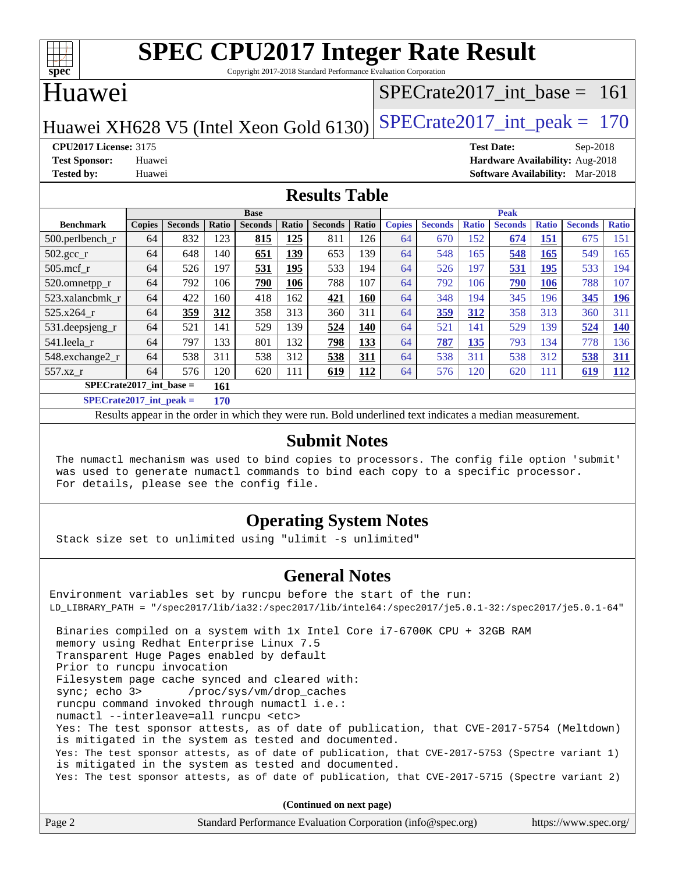

Copyright 2017-2018 Standard Performance Evaluation Corporation

## Huawei

### [SPECrate2017\\_int\\_base =](http://www.spec.org/auto/cpu2017/Docs/result-fields.html#SPECrate2017intbase) 161

Huawei XH628 V5 (Intel Xeon Gold 6130) SPECrate  $2017$ \_int\_peak = 170

**[CPU2017 License:](http://www.spec.org/auto/cpu2017/Docs/result-fields.html#CPU2017License)** 3175 **[Test Date:](http://www.spec.org/auto/cpu2017/Docs/result-fields.html#TestDate)** Sep-2018 **[Test Sponsor:](http://www.spec.org/auto/cpu2017/Docs/result-fields.html#TestSponsor)** Huawei **[Hardware Availability:](http://www.spec.org/auto/cpu2017/Docs/result-fields.html#HardwareAvailability)** Aug-2018 **[Tested by:](http://www.spec.org/auto/cpu2017/Docs/result-fields.html#Testedby)** Huawei **[Software Availability:](http://www.spec.org/auto/cpu2017/Docs/result-fields.html#SoftwareAvailability)** Mar-2018

### **[Results Table](http://www.spec.org/auto/cpu2017/Docs/result-fields.html#ResultsTable)**

|                                  | <b>Base</b>   |                |       |                | <b>Peak</b> |                |            |               |                |              |                |              |                |              |
|----------------------------------|---------------|----------------|-------|----------------|-------------|----------------|------------|---------------|----------------|--------------|----------------|--------------|----------------|--------------|
| <b>Benchmark</b>                 | <b>Copies</b> | <b>Seconds</b> | Ratio | <b>Seconds</b> | Ratio       | <b>Seconds</b> | Ratio      | <b>Copies</b> | <b>Seconds</b> | <b>Ratio</b> | <b>Seconds</b> | <b>Ratio</b> | <b>Seconds</b> | <b>Ratio</b> |
| 500.perlbench_r                  | 64            | 832            | 123   | 815            | 125         | 811            | 126        | 64            | 670            | 152          | 674            | 151          | 675            | 151          |
| $502.\text{gcc}$ _r              | 64            | 648            | 140   | 651            | 139         | 653            | 139        | 64            | 548            | 165          | 548            | 165          | 549            | 165          |
| $505$ .mcf r                     | 64            | 526            | 197   | 531            | 195         | 533            | 194        | 64            | 526            | 197          | 531            | 195          | 533            | 194          |
| 520.omnetpp_r                    | 64            | 792            | 106   | 790            | 106         | 788            | 107        | 64            | 792            | 106          | 790            | <u>106</u>   | 788            | 107          |
| 523.xalancbmk r                  | 64            | 422            | 160   | 418            | 162         | 421            | 160        | 64            | 348            | 194          | 345            | 196          | 345            | <u>196</u>   |
| 525.x264 r                       | 64            | 359            | 312   | 358            | 313         | 360            | 311        | 64            | 359            | 312          | 358            | 313          | 360            | 311          |
| 531.deepsjeng_r                  | 64            | 521            | 141   | 529            | 139         | 524            | 140        | 64            | 521            | 141          | 529            | 139          | 524            | <u>140</u>   |
| 541.leela r                      | 64            | 797            | 133   | 801            | 132         | 798            | 133        | 64            | 787            | 135          | 793            | 134          | 778            | 136          |
| 548.exchange2_r                  | 64            | 538            | 311   | 538            | 312         | 538            | 311        | 64            | 538            | 311          | 538            | 312          | 538            | <b>311</b>   |
| 557.xz r                         | 64            | 576            | 120   | 620            | 111         | 619            | <u>112</u> | 64            | 576            | 120          | 620            | 111          | <u>619</u>     | <u>112</u>   |
| $SPECrate2017$ int base =<br>161 |               |                |       |                |             |                |            |               |                |              |                |              |                |              |
| $SPECrate2017\_int\_peak =$      |               |                | 170   |                |             |                |            |               |                |              |                |              |                |              |

Results appear in the [order in which they were run](http://www.spec.org/auto/cpu2017/Docs/result-fields.html#RunOrder). Bold underlined text [indicates a median measurement](http://www.spec.org/auto/cpu2017/Docs/result-fields.html#Median).

### **[Submit Notes](http://www.spec.org/auto/cpu2017/Docs/result-fields.html#SubmitNotes)**

 The numactl mechanism was used to bind copies to processors. The config file option 'submit' was used to generate numactl commands to bind each copy to a specific processor. For details, please see the config file.

### **[Operating System Notes](http://www.spec.org/auto/cpu2017/Docs/result-fields.html#OperatingSystemNotes)**

Stack size set to unlimited using "ulimit -s unlimited"

### **[General Notes](http://www.spec.org/auto/cpu2017/Docs/result-fields.html#GeneralNotes)**

Environment variables set by runcpu before the start of the run: LD\_LIBRARY\_PATH = "/spec2017/lib/ia32:/spec2017/lib/intel64:/spec2017/je5.0.1-32:/spec2017/je5.0.1-64" Binaries compiled on a system with 1x Intel Core i7-6700K CPU + 32GB RAM memory using Redhat Enterprise Linux 7.5 Transparent Huge Pages enabled by default Prior to runcpu invocation Filesystem page cache synced and cleared with: sync; echo 3> /proc/sys/vm/drop\_caches runcpu command invoked through numactl i.e.: numactl --interleave=all runcpu <etc> Yes: The test sponsor attests, as of date of publication, that CVE-2017-5754 (Meltdown) is mitigated in the system as tested and documented. Yes: The test sponsor attests, as of date of publication, that CVE-2017-5753 (Spectre variant 1) is mitigated in the system as tested and documented. Yes: The test sponsor attests, as of date of publication, that CVE-2017-5715 (Spectre variant 2)

**(Continued on next page)**

| Page 2 | Standard Performance Evaluation Corporation (info@spec.org) | https://www.spec.org/ |
|--------|-------------------------------------------------------------|-----------------------|
|--------|-------------------------------------------------------------|-----------------------|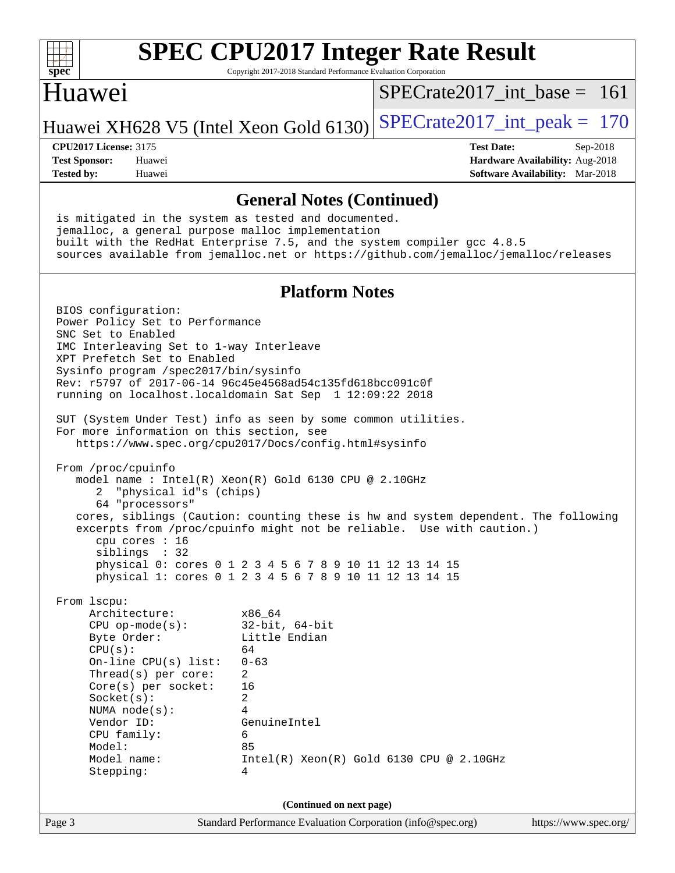

Copyright 2017-2018 Standard Performance Evaluation Corporation

### Huawei

 $SPECrate2017\_int\_base = 161$ 

Huawei XH628 V5 (Intel Xeon Gold 6130) SPECrate  $2017$  int peak = 170

**[Tested by:](http://www.spec.org/auto/cpu2017/Docs/result-fields.html#Testedby)** Huawei **[Software Availability:](http://www.spec.org/auto/cpu2017/Docs/result-fields.html#SoftwareAvailability)** Mar-2018

**[CPU2017 License:](http://www.spec.org/auto/cpu2017/Docs/result-fields.html#CPU2017License)** 3175 **[Test Date:](http://www.spec.org/auto/cpu2017/Docs/result-fields.html#TestDate)** Sep-2018 **[Test Sponsor:](http://www.spec.org/auto/cpu2017/Docs/result-fields.html#TestSponsor)** Huawei **[Hardware Availability:](http://www.spec.org/auto/cpu2017/Docs/result-fields.html#HardwareAvailability)** Aug-2018

### **[General Notes \(Continued\)](http://www.spec.org/auto/cpu2017/Docs/result-fields.html#GeneralNotes)**

 is mitigated in the system as tested and documented. jemalloc, a general purpose malloc implementation built with the RedHat Enterprise 7.5, and the system compiler gcc 4.8.5 sources available from jemalloc.net or <https://github.com/jemalloc/jemalloc/releases>

### **[Platform Notes](http://www.spec.org/auto/cpu2017/Docs/result-fields.html#PlatformNotes)**

Page 3 Standard Performance Evaluation Corporation [\(info@spec.org\)](mailto:info@spec.org) <https://www.spec.org/> BIOS configuration: Power Policy Set to Performance SNC Set to Enabled IMC Interleaving Set to 1-way Interleave XPT Prefetch Set to Enabled Sysinfo program /spec2017/bin/sysinfo Rev: r5797 of 2017-06-14 96c45e4568ad54c135fd618bcc091c0f running on localhost.localdomain Sat Sep 1 12:09:22 2018 SUT (System Under Test) info as seen by some common utilities. For more information on this section, see <https://www.spec.org/cpu2017/Docs/config.html#sysinfo> From /proc/cpuinfo model name : Intel(R) Xeon(R) Gold 6130 CPU @ 2.10GHz 2 "physical id"s (chips) 64 "processors" cores, siblings (Caution: counting these is hw and system dependent. The following excerpts from /proc/cpuinfo might not be reliable. Use with caution.) cpu cores : 16 siblings : 32 physical 0: cores 0 1 2 3 4 5 6 7 8 9 10 11 12 13 14 15 physical 1: cores 0 1 2 3 4 5 6 7 8 9 10 11 12 13 14 15 From lscpu: Architecture: x86\_64 CPU op-mode(s): 32-bit, 64-bit<br>Byte Order: Little Endian Little Endian  $CPU(s):$  64 On-line CPU(s) list: 0-63 Thread(s) per core: 2 Core(s) per socket: 16 Socket(s): 2 NUMA node(s): 4 Vendor ID: GenuineIntel CPU family: 6 Model: 85 Model name: Intel(R) Xeon(R) Gold 6130 CPU @ 2.10GHz Stepping: 4 **(Continued on next page)**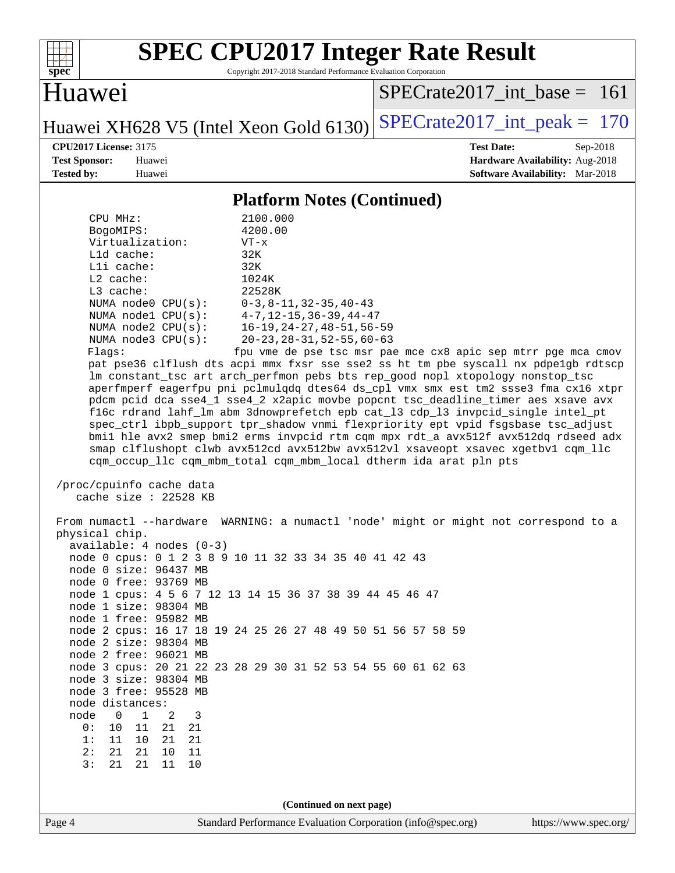

Copyright 2017-2018 Standard Performance Evaluation Corporation

## Huawei

 $SPECrate2017\_int\_base = 161$ 

Huawei XH628 V5 (Intel Xeon Gold 6130) SPECrate  $2017$ \_int\_peak = 170

**[CPU2017 License:](http://www.spec.org/auto/cpu2017/Docs/result-fields.html#CPU2017License)** 3175 **[Test Date:](http://www.spec.org/auto/cpu2017/Docs/result-fields.html#TestDate)** Sep-2018 **[Test Sponsor:](http://www.spec.org/auto/cpu2017/Docs/result-fields.html#TestSponsor)** Huawei **[Hardware Availability:](http://www.spec.org/auto/cpu2017/Docs/result-fields.html#HardwareAvailability)** Aug-2018 **[Tested by:](http://www.spec.org/auto/cpu2017/Docs/result-fields.html#Testedby)** Huawei **[Software Availability:](http://www.spec.org/auto/cpu2017/Docs/result-fields.html#SoftwareAvailability)** Mar-2018

### **[Platform Notes \(Continued\)](http://www.spec.org/auto/cpu2017/Docs/result-fields.html#PlatformNotes)**

| CPU MHz:<br>BogoMIPS:<br>Virtualization:<br>L1d cache:<br>Lli cache:<br>$L2$ cache:<br>$L3$ cache:<br>NUMA node0 CPU(s): 0-3,8-11,32-35,40-43<br>NUMA nodel CPU(s): 4-7, 12-15, 36-39, 44-47<br>NUMA $node3$ $CPU(s):$<br>Flags:                                                                                                                                                                                                                               | 2100.000<br>4200.00<br>$VT - x$<br>32K<br>32K<br>1024K<br>22528K<br>NUMA node2 CPU(s): 16-19, 24-27, 48-51, 56-59<br>20-23, 28-31, 52-55, 60-63<br>fpu vme de pse tsc msr pae mce cx8 apic sep mtrr pge mca cmov<br>pat pse36 clflush dts acpi mmx fxsr sse sse2 ss ht tm pbe syscall nx pdpelgb rdtscp<br>lm constant_tsc art arch_perfmon pebs bts rep_good nopl xtopology nonstop_tsc<br>aperfmperf eagerfpu pni pclmulqdq dtes64 ds_cpl vmx smx est tm2 ssse3 fma cx16 xtpr<br>pdcm pcid dca sse4_1 sse4_2 x2apic movbe popcnt tsc_deadline_timer aes xsave avx<br>f16c rdrand lahf_lm abm 3dnowprefetch epb cat_13 cdp_13 invpcid_single intel_pt<br>spec_ctrl ibpb_support tpr_shadow vnmi flexpriority ept vpid fsgsbase tsc_adjust<br>bmil hle avx2 smep bmi2 erms invpcid rtm cqm mpx rdt_a avx512f avx512dq rdseed adx<br>smap clflushopt clwb avx512cd avx512bw avx512vl xsaveopt xsavec xgetbvl cqm_llc<br>cqm_occup_llc cqm_mbm_total cqm_mbm_local dtherm ida arat pln pts |  |  |  |  |
|----------------------------------------------------------------------------------------------------------------------------------------------------------------------------------------------------------------------------------------------------------------------------------------------------------------------------------------------------------------------------------------------------------------------------------------------------------------|------------------------------------------------------------------------------------------------------------------------------------------------------------------------------------------------------------------------------------------------------------------------------------------------------------------------------------------------------------------------------------------------------------------------------------------------------------------------------------------------------------------------------------------------------------------------------------------------------------------------------------------------------------------------------------------------------------------------------------------------------------------------------------------------------------------------------------------------------------------------------------------------------------------------------------------------------------------------------------------|--|--|--|--|
| /proc/cpuinfo cache data                                                                                                                                                                                                                                                                                                                                                                                                                                       |                                                                                                                                                                                                                                                                                                                                                                                                                                                                                                                                                                                                                                                                                                                                                                                                                                                                                                                                                                                          |  |  |  |  |
| cache size : 22528 KB<br>physical chip.<br>$available: 4 nodes (0-3)$<br>node 0 size: 96437 MB<br>node 0 free: 93769 MB<br>node 1 size: 98304 MB<br>node 1 free: 95982 MB<br>node 2 size: 98304 MB<br>node 2 free: 96021 MB<br>node 3 size: 98304 MB<br>node 3 free: 95528 MB<br>node distances:<br>1<br>2<br>$\mathbf 0$<br>3<br>node<br>0:<br>11<br>10<br>21<br>21<br>1:<br>21<br>11<br>10<br>21<br>2:<br>21<br>21<br>11<br>10<br>10<br>3:<br>21<br>21<br>11 | From numactl --hardware WARNING: a numactl 'node' might or might not correspond to a<br>node 0 cpus: 0 1 2 3 8 9 10 11 32 33 34 35 40 41 42 43<br>node 1 cpus: 4 5 6 7 12 13 14 15 36 37 38 39 44 45 46 47<br>node 2 cpus: 16 17 18 19 24 25 26 27 48 49 50 51 56 57 58 59<br>node 3 cpus: 20 21 22 23 28 29 30 31 52 53 54 55 60 61 62 63<br>(Continued on next page)                                                                                                                                                                                                                                                                                                                                                                                                                                                                                                                                                                                                                   |  |  |  |  |
|                                                                                                                                                                                                                                                                                                                                                                                                                                                                |                                                                                                                                                                                                                                                                                                                                                                                                                                                                                                                                                                                                                                                                                                                                                                                                                                                                                                                                                                                          |  |  |  |  |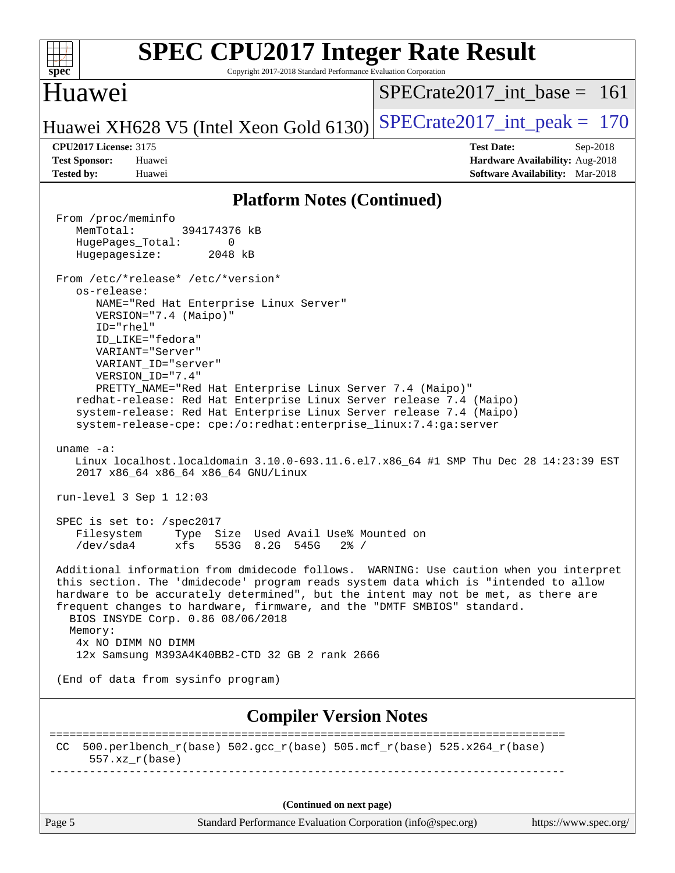| <b>SPEC CPU2017 Integer Rate Result</b><br>Copyright 2017-2018 Standard Performance Evaluation Corporation<br>$spec^*$                                                                                                                                                                                                                                                                                                                                                                                                                                                                                                                                                                                                                                                                                                                                                                                                                                                                                                                                                                                                                                                                                                                                                                                                                                              |                                                                                                     |  |  |  |
|---------------------------------------------------------------------------------------------------------------------------------------------------------------------------------------------------------------------------------------------------------------------------------------------------------------------------------------------------------------------------------------------------------------------------------------------------------------------------------------------------------------------------------------------------------------------------------------------------------------------------------------------------------------------------------------------------------------------------------------------------------------------------------------------------------------------------------------------------------------------------------------------------------------------------------------------------------------------------------------------------------------------------------------------------------------------------------------------------------------------------------------------------------------------------------------------------------------------------------------------------------------------------------------------------------------------------------------------------------------------|-----------------------------------------------------------------------------------------------------|--|--|--|
| Huawei                                                                                                                                                                                                                                                                                                                                                                                                                                                                                                                                                                                                                                                                                                                                                                                                                                                                                                                                                                                                                                                                                                                                                                                                                                                                                                                                                              | $SPECrate2017$ int base = 161                                                                       |  |  |  |
| Huawei XH628 V5 (Intel Xeon Gold 6130)                                                                                                                                                                                                                                                                                                                                                                                                                                                                                                                                                                                                                                                                                                                                                                                                                                                                                                                                                                                                                                                                                                                                                                                                                                                                                                                              | $SPECrate2017\_int\_peak = 170$                                                                     |  |  |  |
| <b>CPU2017 License: 3175</b><br><b>Test Sponsor:</b><br>Huawei<br><b>Tested by:</b><br>Huawei                                                                                                                                                                                                                                                                                                                                                                                                                                                                                                                                                                                                                                                                                                                                                                                                                                                                                                                                                                                                                                                                                                                                                                                                                                                                       | <b>Test Date:</b><br>Sep-2018<br>Hardware Availability: Aug-2018<br>Software Availability: Mar-2018 |  |  |  |
| <b>Platform Notes (Continued)</b>                                                                                                                                                                                                                                                                                                                                                                                                                                                                                                                                                                                                                                                                                                                                                                                                                                                                                                                                                                                                                                                                                                                                                                                                                                                                                                                                   |                                                                                                     |  |  |  |
| From /proc/meminfo<br>MemTotal:<br>394174376 kB<br>HugePages_Total:<br>0<br>Hugepagesize:<br>2048 kB<br>From /etc/*release* /etc/*version*<br>os-release:<br>NAME="Red Hat Enterprise Linux Server"<br>VERSION="7.4 (Maipo)"<br>$ID="rhe1"$<br>ID_LIKE="fedora"<br>VARIANT="Server"<br>VARIANT ID="server"<br>VERSION_ID="7.4"<br>PRETTY_NAME="Red Hat Enterprise Linux Server 7.4 (Maipo)"<br>redhat-release: Red Hat Enterprise Linux Server release 7.4 (Maipo)<br>system-release: Red Hat Enterprise Linux Server release 7.4 (Maipo)<br>system-release-cpe: cpe:/o:redhat:enterprise_linux:7.4:ga:server<br>uname $-a$ :<br>Linux localhost.localdomain 3.10.0-693.11.6.el7.x86_64 #1 SMP Thu Dec 28 14:23:39 EST<br>2017 x86_64 x86_64 x86_64 GNU/Linux<br>run-level $3$ Sep $1$ $12:03$<br>SPEC is set to: /spec2017<br>Type Size Used Avail Use% Mounted on<br>Filesystem<br>/dev/sda4<br>xfs<br>553G 8.2G 545G<br>$2\frac{8}{1}$ /<br>Additional information from dmidecode follows. WARNING: Use caution when you interpret<br>this section. The 'dmidecode' program reads system data which is "intended to allow<br>hardware to be accurately determined", but the intent may not be met, as there are<br>frequent changes to hardware, firmware, and the "DMTF SMBIOS" standard.<br>BIOS INSYDE Corp. 0.86 08/06/2018<br>Memory:<br>4x NO DIMM NO DIMM |                                                                                                     |  |  |  |
| 12x Samsung M393A4K40BB2-CTD 32 GB 2 rank 2666                                                                                                                                                                                                                                                                                                                                                                                                                                                                                                                                                                                                                                                                                                                                                                                                                                                                                                                                                                                                                                                                                                                                                                                                                                                                                                                      |                                                                                                     |  |  |  |
| (End of data from sysinfo program)                                                                                                                                                                                                                                                                                                                                                                                                                                                                                                                                                                                                                                                                                                                                                                                                                                                                                                                                                                                                                                                                                                                                                                                                                                                                                                                                  |                                                                                                     |  |  |  |
| <b>Compiler Version Notes</b><br>------------------------                                                                                                                                                                                                                                                                                                                                                                                                                                                                                                                                                                                                                                                                                                                                                                                                                                                                                                                                                                                                                                                                                                                                                                                                                                                                                                           |                                                                                                     |  |  |  |
| 500.perlbench_r(base) 502.gcc_r(base) 505.mcf_r(base) 525.x264_r(base)<br>CC.<br>$557. xz_r(base)$                                                                                                                                                                                                                                                                                                                                                                                                                                                                                                                                                                                                                                                                                                                                                                                                                                                                                                                                                                                                                                                                                                                                                                                                                                                                  |                                                                                                     |  |  |  |
|                                                                                                                                                                                                                                                                                                                                                                                                                                                                                                                                                                                                                                                                                                                                                                                                                                                                                                                                                                                                                                                                                                                                                                                                                                                                                                                                                                     |                                                                                                     |  |  |  |
| (Continued on next page)<br>Page 5<br>Standard Performance Evaluation Corporation (info@spec.org)                                                                                                                                                                                                                                                                                                                                                                                                                                                                                                                                                                                                                                                                                                                                                                                                                                                                                                                                                                                                                                                                                                                                                                                                                                                                   | https://www.spec.org/                                                                               |  |  |  |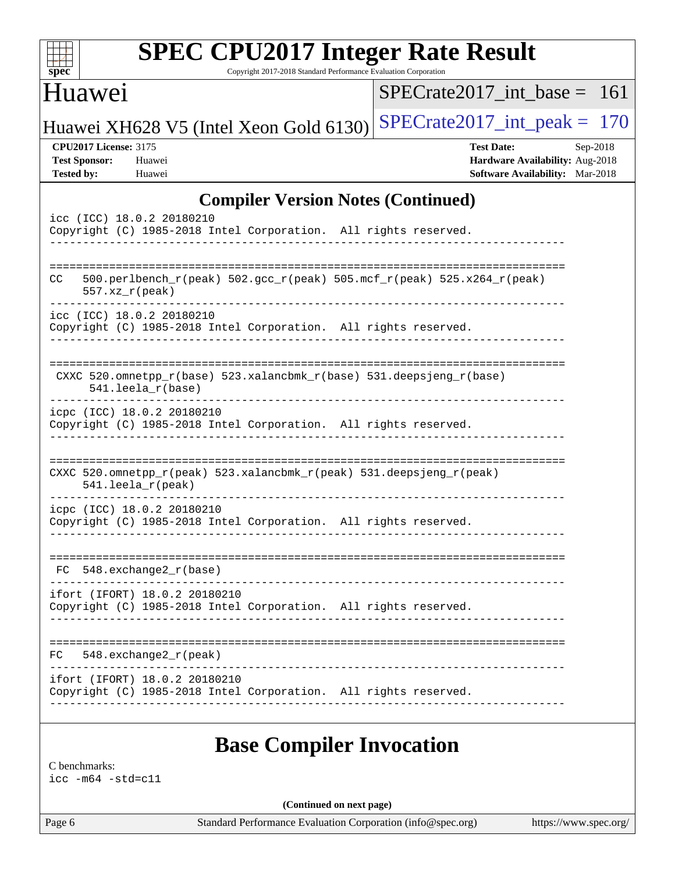| Copyright 2017-2018 Standard Performance Evaluation Corporation<br>$spec^*$<br>Huawei                                                   | $SPECrate2017$ int base = 161                                                                         |
|-----------------------------------------------------------------------------------------------------------------------------------------|-------------------------------------------------------------------------------------------------------|
|                                                                                                                                         | $SPECTate2017\_int\_peak = 170$                                                                       |
| Huawei XH628 V5 (Intel Xeon Gold 6130)<br><b>CPU2017 License: 3175</b><br><b>Test Sponsor:</b><br>Huawei<br><b>Tested by:</b><br>Huawei | <b>Test Date:</b><br>$Sep-2018$<br>Hardware Availability: Aug-2018<br>Software Availability: Mar-2018 |
| <b>Compiler Version Notes (Continued)</b>                                                                                               |                                                                                                       |
| icc (ICC) 18.0.2 20180210<br>Copyright (C) 1985-2018 Intel Corporation. All rights reserved.                                            |                                                                                                       |
| 500.perlbench_r(peak) 502.gcc_r(peak) 505.mcf_r(peak) 525.x264_r(peak)<br>CC<br>$557. xz_r (peak)$                                      |                                                                                                       |
| icc (ICC) 18.0.2 20180210<br>Copyright (C) 1985-2018 Intel Corporation. All rights reserved.                                            |                                                                                                       |
| CXXC 520.omnetpp_r(base) 523.xalancbmk_r(base) 531.deepsjeng_r(base)<br>$541.$ leela $r(base)$                                          |                                                                                                       |
| icpc (ICC) 18.0.2 20180210<br>Copyright (C) 1985-2018 Intel Corporation. All rights reserved.                                           |                                                                                                       |
| CXXC 520.omnetpp_r(peak) 523.xalancbmk_r(peak) 531.deepsjeng_r(peak)<br>$541.$ leela_r(peak)                                            |                                                                                                       |
| icpc (ICC) 18.0.2 20180210<br>Copyright (C) 1985-2018 Intel Corporation. All rights reserved.                                           |                                                                                                       |
| 548.exchange2_r(base)<br>FC.                                                                                                            |                                                                                                       |
| ifort (IFORT) 18.0.2 20180210<br>Copyright (C) 1985-2018 Intel Corporation. All rights reserved.                                        |                                                                                                       |
| $FC$ 548. exchange2 $r$ (peak)                                                                                                          |                                                                                                       |
| ifort (IFORT) 18.0.2 20180210                                                                                                           | Copyright (C) 1985-2018 Intel Corporation. All rights reserved.                                       |

[icc -m64 -std=c11](http://www.spec.org/cpu2017/results/res2018q4/cpu2017-20181025-09284.flags.html#user_CCbase_intel_icc_64bit_c11_33ee0cdaae7deeeab2a9725423ba97205ce30f63b9926c2519791662299b76a0318f32ddfffdc46587804de3178b4f9328c46fa7c2b0cd779d7a61945c91cd35)

**(Continued on next page)**

Page 6 Standard Performance Evaluation Corporation [\(info@spec.org\)](mailto:info@spec.org) <https://www.spec.org/>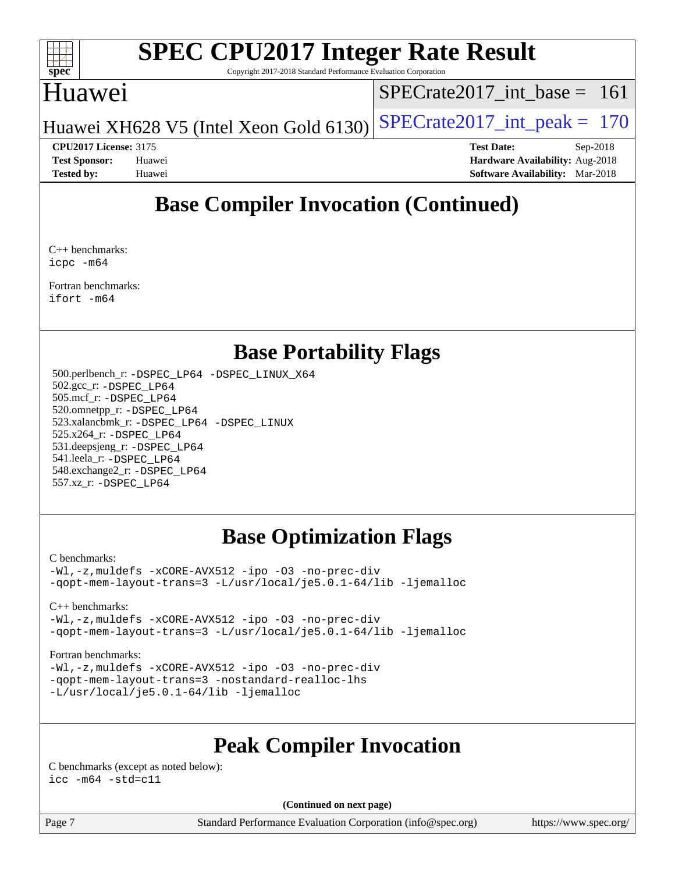

Copyright 2017-2018 Standard Performance Evaluation Corporation

## Huawei

[SPECrate2017\\_int\\_base =](http://www.spec.org/auto/cpu2017/Docs/result-fields.html#SPECrate2017intbase) 161

Huawei XH628 V5 (Intel Xeon Gold 6130) SPECrate  $2017$  int peak = 170

**[CPU2017 License:](http://www.spec.org/auto/cpu2017/Docs/result-fields.html#CPU2017License)** 3175 **[Test Date:](http://www.spec.org/auto/cpu2017/Docs/result-fields.html#TestDate)** Sep-2018 **[Test Sponsor:](http://www.spec.org/auto/cpu2017/Docs/result-fields.html#TestSponsor)** Huawei **[Hardware Availability:](http://www.spec.org/auto/cpu2017/Docs/result-fields.html#HardwareAvailability)** Aug-2018 **[Tested by:](http://www.spec.org/auto/cpu2017/Docs/result-fields.html#Testedby)** Huawei **[Software Availability:](http://www.spec.org/auto/cpu2017/Docs/result-fields.html#SoftwareAvailability)** Mar-2018

## **[Base Compiler Invocation \(Continued\)](http://www.spec.org/auto/cpu2017/Docs/result-fields.html#BaseCompilerInvocation)**

[C++ benchmarks](http://www.spec.org/auto/cpu2017/Docs/result-fields.html#CXXbenchmarks): [icpc -m64](http://www.spec.org/cpu2017/results/res2018q4/cpu2017-20181025-09284.flags.html#user_CXXbase_intel_icpc_64bit_4ecb2543ae3f1412ef961e0650ca070fec7b7afdcd6ed48761b84423119d1bf6bdf5cad15b44d48e7256388bc77273b966e5eb805aefd121eb22e9299b2ec9d9)

[Fortran benchmarks](http://www.spec.org/auto/cpu2017/Docs/result-fields.html#Fortranbenchmarks): [ifort -m64](http://www.spec.org/cpu2017/results/res2018q4/cpu2017-20181025-09284.flags.html#user_FCbase_intel_ifort_64bit_24f2bb282fbaeffd6157abe4f878425411749daecae9a33200eee2bee2fe76f3b89351d69a8130dd5949958ce389cf37ff59a95e7a40d588e8d3a57e0c3fd751)

## **[Base Portability Flags](http://www.spec.org/auto/cpu2017/Docs/result-fields.html#BasePortabilityFlags)**

 500.perlbench\_r: [-DSPEC\\_LP64](http://www.spec.org/cpu2017/results/res2018q4/cpu2017-20181025-09284.flags.html#b500.perlbench_r_basePORTABILITY_DSPEC_LP64) [-DSPEC\\_LINUX\\_X64](http://www.spec.org/cpu2017/results/res2018q4/cpu2017-20181025-09284.flags.html#b500.perlbench_r_baseCPORTABILITY_DSPEC_LINUX_X64) 502.gcc\_r: [-DSPEC\\_LP64](http://www.spec.org/cpu2017/results/res2018q4/cpu2017-20181025-09284.flags.html#suite_basePORTABILITY502_gcc_r_DSPEC_LP64) 505.mcf\_r: [-DSPEC\\_LP64](http://www.spec.org/cpu2017/results/res2018q4/cpu2017-20181025-09284.flags.html#suite_basePORTABILITY505_mcf_r_DSPEC_LP64) 520.omnetpp\_r: [-DSPEC\\_LP64](http://www.spec.org/cpu2017/results/res2018q4/cpu2017-20181025-09284.flags.html#suite_basePORTABILITY520_omnetpp_r_DSPEC_LP64) 523.xalancbmk\_r: [-DSPEC\\_LP64](http://www.spec.org/cpu2017/results/res2018q4/cpu2017-20181025-09284.flags.html#suite_basePORTABILITY523_xalancbmk_r_DSPEC_LP64) [-DSPEC\\_LINUX](http://www.spec.org/cpu2017/results/res2018q4/cpu2017-20181025-09284.flags.html#b523.xalancbmk_r_baseCXXPORTABILITY_DSPEC_LINUX) 525.x264\_r: [-DSPEC\\_LP64](http://www.spec.org/cpu2017/results/res2018q4/cpu2017-20181025-09284.flags.html#suite_basePORTABILITY525_x264_r_DSPEC_LP64) 531.deepsjeng\_r: [-DSPEC\\_LP64](http://www.spec.org/cpu2017/results/res2018q4/cpu2017-20181025-09284.flags.html#suite_basePORTABILITY531_deepsjeng_r_DSPEC_LP64) 541.leela\_r: [-DSPEC\\_LP64](http://www.spec.org/cpu2017/results/res2018q4/cpu2017-20181025-09284.flags.html#suite_basePORTABILITY541_leela_r_DSPEC_LP64) 548.exchange2\_r: [-DSPEC\\_LP64](http://www.spec.org/cpu2017/results/res2018q4/cpu2017-20181025-09284.flags.html#suite_basePORTABILITY548_exchange2_r_DSPEC_LP64) 557.xz\_r: [-DSPEC\\_LP64](http://www.spec.org/cpu2017/results/res2018q4/cpu2017-20181025-09284.flags.html#suite_basePORTABILITY557_xz_r_DSPEC_LP64)

## **[Base Optimization Flags](http://www.spec.org/auto/cpu2017/Docs/result-fields.html#BaseOptimizationFlags)**

### [C benchmarks](http://www.spec.org/auto/cpu2017/Docs/result-fields.html#Cbenchmarks):

[-Wl,-z,muldefs](http://www.spec.org/cpu2017/results/res2018q4/cpu2017-20181025-09284.flags.html#user_CCbase_link_force_multiple1_b4cbdb97b34bdee9ceefcfe54f4c8ea74255f0b02a4b23e853cdb0e18eb4525ac79b5a88067c842dd0ee6996c24547a27a4b99331201badda8798ef8a743f577) [-xCORE-AVX512](http://www.spec.org/cpu2017/results/res2018q4/cpu2017-20181025-09284.flags.html#user_CCbase_f-xCORE-AVX512) [-ipo](http://www.spec.org/cpu2017/results/res2018q4/cpu2017-20181025-09284.flags.html#user_CCbase_f-ipo) [-O3](http://www.spec.org/cpu2017/results/res2018q4/cpu2017-20181025-09284.flags.html#user_CCbase_f-O3) [-no-prec-div](http://www.spec.org/cpu2017/results/res2018q4/cpu2017-20181025-09284.flags.html#user_CCbase_f-no-prec-div) [-qopt-mem-layout-trans=3](http://www.spec.org/cpu2017/results/res2018q4/cpu2017-20181025-09284.flags.html#user_CCbase_f-qopt-mem-layout-trans_de80db37974c74b1f0e20d883f0b675c88c3b01e9d123adea9b28688d64333345fb62bc4a798493513fdb68f60282f9a726aa07f478b2f7113531aecce732043) [-L/usr/local/je5.0.1-64/lib](http://www.spec.org/cpu2017/results/res2018q4/cpu2017-20181025-09284.flags.html#user_CCbase_jemalloc_link_path64_4b10a636b7bce113509b17f3bd0d6226c5fb2346b9178c2d0232c14f04ab830f976640479e5c33dc2bcbbdad86ecfb6634cbbd4418746f06f368b512fced5394) [-ljemalloc](http://www.spec.org/cpu2017/results/res2018q4/cpu2017-20181025-09284.flags.html#user_CCbase_jemalloc_link_lib_d1249b907c500fa1c0672f44f562e3d0f79738ae9e3c4a9c376d49f265a04b9c99b167ecedbf6711b3085be911c67ff61f150a17b3472be731631ba4d0471706)

### [C++ benchmarks:](http://www.spec.org/auto/cpu2017/Docs/result-fields.html#CXXbenchmarks)

[-Wl,-z,muldefs](http://www.spec.org/cpu2017/results/res2018q4/cpu2017-20181025-09284.flags.html#user_CXXbase_link_force_multiple1_b4cbdb97b34bdee9ceefcfe54f4c8ea74255f0b02a4b23e853cdb0e18eb4525ac79b5a88067c842dd0ee6996c24547a27a4b99331201badda8798ef8a743f577) [-xCORE-AVX512](http://www.spec.org/cpu2017/results/res2018q4/cpu2017-20181025-09284.flags.html#user_CXXbase_f-xCORE-AVX512) [-ipo](http://www.spec.org/cpu2017/results/res2018q4/cpu2017-20181025-09284.flags.html#user_CXXbase_f-ipo) [-O3](http://www.spec.org/cpu2017/results/res2018q4/cpu2017-20181025-09284.flags.html#user_CXXbase_f-O3) [-no-prec-div](http://www.spec.org/cpu2017/results/res2018q4/cpu2017-20181025-09284.flags.html#user_CXXbase_f-no-prec-div) [-qopt-mem-layout-trans=3](http://www.spec.org/cpu2017/results/res2018q4/cpu2017-20181025-09284.flags.html#user_CXXbase_f-qopt-mem-layout-trans_de80db37974c74b1f0e20d883f0b675c88c3b01e9d123adea9b28688d64333345fb62bc4a798493513fdb68f60282f9a726aa07f478b2f7113531aecce732043) [-L/usr/local/je5.0.1-64/lib](http://www.spec.org/cpu2017/results/res2018q4/cpu2017-20181025-09284.flags.html#user_CXXbase_jemalloc_link_path64_4b10a636b7bce113509b17f3bd0d6226c5fb2346b9178c2d0232c14f04ab830f976640479e5c33dc2bcbbdad86ecfb6634cbbd4418746f06f368b512fced5394) [-ljemalloc](http://www.spec.org/cpu2017/results/res2018q4/cpu2017-20181025-09284.flags.html#user_CXXbase_jemalloc_link_lib_d1249b907c500fa1c0672f44f562e3d0f79738ae9e3c4a9c376d49f265a04b9c99b167ecedbf6711b3085be911c67ff61f150a17b3472be731631ba4d0471706)

### [Fortran benchmarks](http://www.spec.org/auto/cpu2017/Docs/result-fields.html#Fortranbenchmarks):

[-Wl,-z,muldefs](http://www.spec.org/cpu2017/results/res2018q4/cpu2017-20181025-09284.flags.html#user_FCbase_link_force_multiple1_b4cbdb97b34bdee9ceefcfe54f4c8ea74255f0b02a4b23e853cdb0e18eb4525ac79b5a88067c842dd0ee6996c24547a27a4b99331201badda8798ef8a743f577) [-xCORE-AVX512](http://www.spec.org/cpu2017/results/res2018q4/cpu2017-20181025-09284.flags.html#user_FCbase_f-xCORE-AVX512) [-ipo](http://www.spec.org/cpu2017/results/res2018q4/cpu2017-20181025-09284.flags.html#user_FCbase_f-ipo) [-O3](http://www.spec.org/cpu2017/results/res2018q4/cpu2017-20181025-09284.flags.html#user_FCbase_f-O3) [-no-prec-div](http://www.spec.org/cpu2017/results/res2018q4/cpu2017-20181025-09284.flags.html#user_FCbase_f-no-prec-div) [-qopt-mem-layout-trans=3](http://www.spec.org/cpu2017/results/res2018q4/cpu2017-20181025-09284.flags.html#user_FCbase_f-qopt-mem-layout-trans_de80db37974c74b1f0e20d883f0b675c88c3b01e9d123adea9b28688d64333345fb62bc4a798493513fdb68f60282f9a726aa07f478b2f7113531aecce732043) [-nostandard-realloc-lhs](http://www.spec.org/cpu2017/results/res2018q4/cpu2017-20181025-09284.flags.html#user_FCbase_f_2003_std_realloc_82b4557e90729c0f113870c07e44d33d6f5a304b4f63d4c15d2d0f1fab99f5daaed73bdb9275d9ae411527f28b936061aa8b9c8f2d63842963b95c9dd6426b8a) [-L/usr/local/je5.0.1-64/lib](http://www.spec.org/cpu2017/results/res2018q4/cpu2017-20181025-09284.flags.html#user_FCbase_jemalloc_link_path64_4b10a636b7bce113509b17f3bd0d6226c5fb2346b9178c2d0232c14f04ab830f976640479e5c33dc2bcbbdad86ecfb6634cbbd4418746f06f368b512fced5394) [-ljemalloc](http://www.spec.org/cpu2017/results/res2018q4/cpu2017-20181025-09284.flags.html#user_FCbase_jemalloc_link_lib_d1249b907c500fa1c0672f44f562e3d0f79738ae9e3c4a9c376d49f265a04b9c99b167ecedbf6711b3085be911c67ff61f150a17b3472be731631ba4d0471706)

## **[Peak Compiler Invocation](http://www.spec.org/auto/cpu2017/Docs/result-fields.html#PeakCompilerInvocation)**

[C benchmarks \(except as noted below\)](http://www.spec.org/auto/cpu2017/Docs/result-fields.html#Cbenchmarksexceptasnotedbelow):  $\text{icc}$  -m64 -std=c11

**(Continued on next page)**

Page 7 Standard Performance Evaluation Corporation [\(info@spec.org\)](mailto:info@spec.org) <https://www.spec.org/>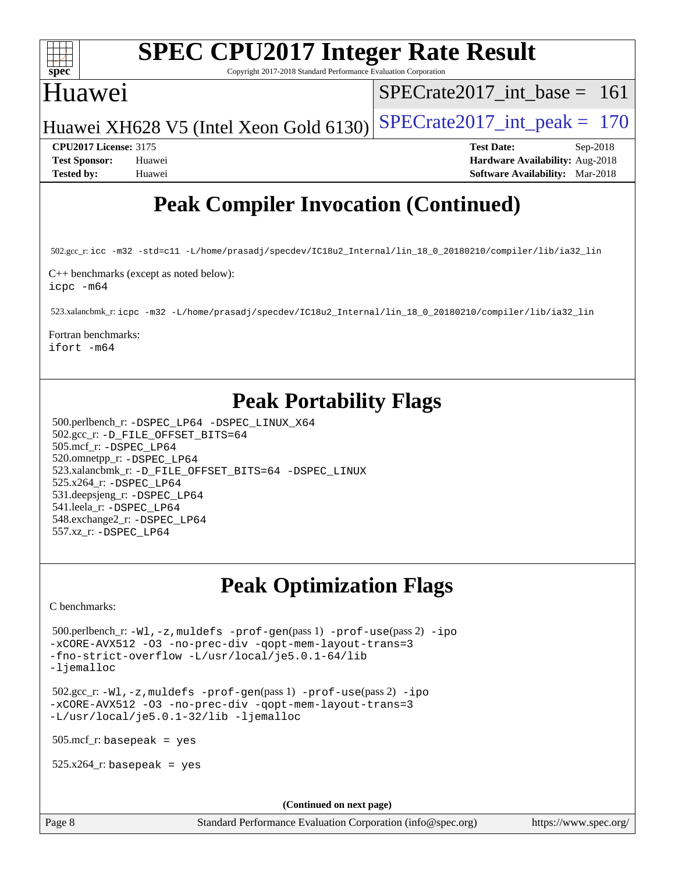

Copyright 2017-2018 Standard Performance Evaluation Corporation

## Huawei

[SPECrate2017\\_int\\_base =](http://www.spec.org/auto/cpu2017/Docs/result-fields.html#SPECrate2017intbase) 161

Huawei XH628 V5 (Intel Xeon Gold 6130) SPECrate  $2017$  int peak = 170

**[CPU2017 License:](http://www.spec.org/auto/cpu2017/Docs/result-fields.html#CPU2017License)** 3175 **[Test Date:](http://www.spec.org/auto/cpu2017/Docs/result-fields.html#TestDate)** Sep-2018 **[Test Sponsor:](http://www.spec.org/auto/cpu2017/Docs/result-fields.html#TestSponsor)** Huawei **[Hardware Availability:](http://www.spec.org/auto/cpu2017/Docs/result-fields.html#HardwareAvailability)** Aug-2018 **[Tested by:](http://www.spec.org/auto/cpu2017/Docs/result-fields.html#Testedby)** Huawei **[Software Availability:](http://www.spec.org/auto/cpu2017/Docs/result-fields.html#SoftwareAvailability)** Mar-2018

## **[Peak Compiler Invocation \(Continued\)](http://www.spec.org/auto/cpu2017/Docs/result-fields.html#PeakCompilerInvocation)**

502.gcc\_r: [icc -m32 -std=c11 -L/home/prasadj/specdev/IC18u2\\_Internal/lin\\_18\\_0\\_20180210/compiler/lib/ia32\\_lin](http://www.spec.org/cpu2017/results/res2018q4/cpu2017-20181025-09284.flags.html#user_peakCCLD502_gcc_r_intel_icc_a481ac844e7127046fad14d498c730a1848fa901fbbb2c3dfdd5e9fbbac777c8009953946d55d8b6afe8ed0da70dd2b4f8dedbdf7ab1ee211ba70d24a5d89f85)

[C++ benchmarks \(except as noted below\)](http://www.spec.org/auto/cpu2017/Docs/result-fields.html#CXXbenchmarksexceptasnotedbelow): [icpc -m64](http://www.spec.org/cpu2017/results/res2018q4/cpu2017-20181025-09284.flags.html#user_CXXpeak_intel_icpc_64bit_4ecb2543ae3f1412ef961e0650ca070fec7b7afdcd6ed48761b84423119d1bf6bdf5cad15b44d48e7256388bc77273b966e5eb805aefd121eb22e9299b2ec9d9)

523.xalancbmk\_r: [icpc -m32 -L/home/prasadj/specdev/IC18u2\\_Internal/lin\\_18\\_0\\_20180210/compiler/lib/ia32\\_lin](http://www.spec.org/cpu2017/results/res2018q4/cpu2017-20181025-09284.flags.html#user_peakCXXLD523_xalancbmk_r_intel_icpc_c6d030cd79af6ea7d6fb64c57e8fe7ae8fe0b96fc5a3b3f4a10e3273b3d7fa9decd8263f6330cef23f751cb093a69fae84a2bf4c243500a8eed069248128076f)

[Fortran benchmarks](http://www.spec.org/auto/cpu2017/Docs/result-fields.html#Fortranbenchmarks):

[ifort -m64](http://www.spec.org/cpu2017/results/res2018q4/cpu2017-20181025-09284.flags.html#user_FCpeak_intel_ifort_64bit_24f2bb282fbaeffd6157abe4f878425411749daecae9a33200eee2bee2fe76f3b89351d69a8130dd5949958ce389cf37ff59a95e7a40d588e8d3a57e0c3fd751)

## **[Peak Portability Flags](http://www.spec.org/auto/cpu2017/Docs/result-fields.html#PeakPortabilityFlags)**

 500.perlbench\_r: [-DSPEC\\_LP64](http://www.spec.org/cpu2017/results/res2018q4/cpu2017-20181025-09284.flags.html#b500.perlbench_r_peakPORTABILITY_DSPEC_LP64) [-DSPEC\\_LINUX\\_X64](http://www.spec.org/cpu2017/results/res2018q4/cpu2017-20181025-09284.flags.html#b500.perlbench_r_peakCPORTABILITY_DSPEC_LINUX_X64) 502.gcc\_r: [-D\\_FILE\\_OFFSET\\_BITS=64](http://www.spec.org/cpu2017/results/res2018q4/cpu2017-20181025-09284.flags.html#user_peakPORTABILITY502_gcc_r_file_offset_bits_64_5ae949a99b284ddf4e95728d47cb0843d81b2eb0e18bdfe74bbf0f61d0b064f4bda2f10ea5eb90e1dcab0e84dbc592acfc5018bc955c18609f94ddb8d550002c) 505.mcf\_r: [-DSPEC\\_LP64](http://www.spec.org/cpu2017/results/res2018q4/cpu2017-20181025-09284.flags.html#suite_peakPORTABILITY505_mcf_r_DSPEC_LP64) 520.omnetpp\_r: [-DSPEC\\_LP64](http://www.spec.org/cpu2017/results/res2018q4/cpu2017-20181025-09284.flags.html#suite_peakPORTABILITY520_omnetpp_r_DSPEC_LP64) 523.xalancbmk\_r: [-D\\_FILE\\_OFFSET\\_BITS=64](http://www.spec.org/cpu2017/results/res2018q4/cpu2017-20181025-09284.flags.html#user_peakPORTABILITY523_xalancbmk_r_file_offset_bits_64_5ae949a99b284ddf4e95728d47cb0843d81b2eb0e18bdfe74bbf0f61d0b064f4bda2f10ea5eb90e1dcab0e84dbc592acfc5018bc955c18609f94ddb8d550002c) [-DSPEC\\_LINUX](http://www.spec.org/cpu2017/results/res2018q4/cpu2017-20181025-09284.flags.html#b523.xalancbmk_r_peakCXXPORTABILITY_DSPEC_LINUX) 525.x264\_r: [-DSPEC\\_LP64](http://www.spec.org/cpu2017/results/res2018q4/cpu2017-20181025-09284.flags.html#suite_peakPORTABILITY525_x264_r_DSPEC_LP64) 531.deepsjeng\_r: [-DSPEC\\_LP64](http://www.spec.org/cpu2017/results/res2018q4/cpu2017-20181025-09284.flags.html#suite_peakPORTABILITY531_deepsjeng_r_DSPEC_LP64) 541.leela\_r: [-DSPEC\\_LP64](http://www.spec.org/cpu2017/results/res2018q4/cpu2017-20181025-09284.flags.html#suite_peakPORTABILITY541_leela_r_DSPEC_LP64) 548.exchange2\_r: [-DSPEC\\_LP64](http://www.spec.org/cpu2017/results/res2018q4/cpu2017-20181025-09284.flags.html#suite_peakPORTABILITY548_exchange2_r_DSPEC_LP64) 557.xz\_r: [-DSPEC\\_LP64](http://www.spec.org/cpu2017/results/res2018q4/cpu2017-20181025-09284.flags.html#suite_peakPORTABILITY557_xz_r_DSPEC_LP64)

## **[Peak Optimization Flags](http://www.spec.org/auto/cpu2017/Docs/result-fields.html#PeakOptimizationFlags)**

[C benchmarks](http://www.spec.org/auto/cpu2017/Docs/result-fields.html#Cbenchmarks):

 500.perlbench\_r: [-Wl,-z,muldefs](http://www.spec.org/cpu2017/results/res2018q4/cpu2017-20181025-09284.flags.html#user_peakEXTRA_LDFLAGS500_perlbench_r_link_force_multiple1_b4cbdb97b34bdee9ceefcfe54f4c8ea74255f0b02a4b23e853cdb0e18eb4525ac79b5a88067c842dd0ee6996c24547a27a4b99331201badda8798ef8a743f577) [-prof-gen](http://www.spec.org/cpu2017/results/res2018q4/cpu2017-20181025-09284.flags.html#user_peakPASS1_CFLAGSPASS1_LDFLAGS500_perlbench_r_prof_gen_5aa4926d6013ddb2a31985c654b3eb18169fc0c6952a63635c234f711e6e63dd76e94ad52365559451ec499a2cdb89e4dc58ba4c67ef54ca681ffbe1461d6b36)(pass 1) [-prof-use](http://www.spec.org/cpu2017/results/res2018q4/cpu2017-20181025-09284.flags.html#user_peakPASS2_CFLAGSPASS2_LDFLAGS500_perlbench_r_prof_use_1a21ceae95f36a2b53c25747139a6c16ca95bd9def2a207b4f0849963b97e94f5260e30a0c64f4bb623698870e679ca08317ef8150905d41bd88c6f78df73f19)(pass 2) [-ipo](http://www.spec.org/cpu2017/results/res2018q4/cpu2017-20181025-09284.flags.html#user_peakPASS1_COPTIMIZEPASS2_COPTIMIZE500_perlbench_r_f-ipo) [-xCORE-AVX512](http://www.spec.org/cpu2017/results/res2018q4/cpu2017-20181025-09284.flags.html#user_peakPASS2_COPTIMIZE500_perlbench_r_f-xCORE-AVX512) [-O3](http://www.spec.org/cpu2017/results/res2018q4/cpu2017-20181025-09284.flags.html#user_peakPASS1_COPTIMIZEPASS2_COPTIMIZE500_perlbench_r_f-O3) [-no-prec-div](http://www.spec.org/cpu2017/results/res2018q4/cpu2017-20181025-09284.flags.html#user_peakPASS1_COPTIMIZEPASS2_COPTIMIZE500_perlbench_r_f-no-prec-div) [-qopt-mem-layout-trans=3](http://www.spec.org/cpu2017/results/res2018q4/cpu2017-20181025-09284.flags.html#user_peakPASS1_COPTIMIZEPASS2_COPTIMIZE500_perlbench_r_f-qopt-mem-layout-trans_de80db37974c74b1f0e20d883f0b675c88c3b01e9d123adea9b28688d64333345fb62bc4a798493513fdb68f60282f9a726aa07f478b2f7113531aecce732043) [-fno-strict-overflow](http://www.spec.org/cpu2017/results/res2018q4/cpu2017-20181025-09284.flags.html#user_peakEXTRA_OPTIMIZE500_perlbench_r_f-fno-strict-overflow) [-L/usr/local/je5.0.1-64/lib](http://www.spec.org/cpu2017/results/res2018q4/cpu2017-20181025-09284.flags.html#user_peakEXTRA_LIBS500_perlbench_r_jemalloc_link_path64_4b10a636b7bce113509b17f3bd0d6226c5fb2346b9178c2d0232c14f04ab830f976640479e5c33dc2bcbbdad86ecfb6634cbbd4418746f06f368b512fced5394) [-ljemalloc](http://www.spec.org/cpu2017/results/res2018q4/cpu2017-20181025-09284.flags.html#user_peakEXTRA_LIBS500_perlbench_r_jemalloc_link_lib_d1249b907c500fa1c0672f44f562e3d0f79738ae9e3c4a9c376d49f265a04b9c99b167ecedbf6711b3085be911c67ff61f150a17b3472be731631ba4d0471706)

 502.gcc\_r: [-Wl,-z,muldefs](http://www.spec.org/cpu2017/results/res2018q4/cpu2017-20181025-09284.flags.html#user_peakEXTRA_LDFLAGS502_gcc_r_link_force_multiple1_b4cbdb97b34bdee9ceefcfe54f4c8ea74255f0b02a4b23e853cdb0e18eb4525ac79b5a88067c842dd0ee6996c24547a27a4b99331201badda8798ef8a743f577) [-prof-gen](http://www.spec.org/cpu2017/results/res2018q4/cpu2017-20181025-09284.flags.html#user_peakPASS1_CFLAGSPASS1_LDFLAGS502_gcc_r_prof_gen_5aa4926d6013ddb2a31985c654b3eb18169fc0c6952a63635c234f711e6e63dd76e94ad52365559451ec499a2cdb89e4dc58ba4c67ef54ca681ffbe1461d6b36)(pass 1) [-prof-use](http://www.spec.org/cpu2017/results/res2018q4/cpu2017-20181025-09284.flags.html#user_peakPASS2_CFLAGSPASS2_LDFLAGS502_gcc_r_prof_use_1a21ceae95f36a2b53c25747139a6c16ca95bd9def2a207b4f0849963b97e94f5260e30a0c64f4bb623698870e679ca08317ef8150905d41bd88c6f78df73f19)(pass 2) [-ipo](http://www.spec.org/cpu2017/results/res2018q4/cpu2017-20181025-09284.flags.html#user_peakPASS1_COPTIMIZEPASS2_COPTIMIZE502_gcc_r_f-ipo) [-xCORE-AVX512](http://www.spec.org/cpu2017/results/res2018q4/cpu2017-20181025-09284.flags.html#user_peakPASS2_COPTIMIZE502_gcc_r_f-xCORE-AVX512) [-O3](http://www.spec.org/cpu2017/results/res2018q4/cpu2017-20181025-09284.flags.html#user_peakPASS1_COPTIMIZEPASS2_COPTIMIZE502_gcc_r_f-O3) [-no-prec-div](http://www.spec.org/cpu2017/results/res2018q4/cpu2017-20181025-09284.flags.html#user_peakPASS1_COPTIMIZEPASS2_COPTIMIZE502_gcc_r_f-no-prec-div) [-qopt-mem-layout-trans=3](http://www.spec.org/cpu2017/results/res2018q4/cpu2017-20181025-09284.flags.html#user_peakPASS1_COPTIMIZEPASS2_COPTIMIZE502_gcc_r_f-qopt-mem-layout-trans_de80db37974c74b1f0e20d883f0b675c88c3b01e9d123adea9b28688d64333345fb62bc4a798493513fdb68f60282f9a726aa07f478b2f7113531aecce732043) [-L/usr/local/je5.0.1-32/lib](http://www.spec.org/cpu2017/results/res2018q4/cpu2017-20181025-09284.flags.html#user_peakEXTRA_LIBS502_gcc_r_jemalloc_link_path32_e29f22e8e6c17053bbc6a0971f5a9c01a601a06bb1a59df2084b77a2fe0a2995b64fd4256feaeea39eeba3aae142e96e2b2b0a28974019c0c0c88139a84f900a) [-ljemalloc](http://www.spec.org/cpu2017/results/res2018q4/cpu2017-20181025-09284.flags.html#user_peakEXTRA_LIBS502_gcc_r_jemalloc_link_lib_d1249b907c500fa1c0672f44f562e3d0f79738ae9e3c4a9c376d49f265a04b9c99b167ecedbf6711b3085be911c67ff61f150a17b3472be731631ba4d0471706)

505.mcf\_r: basepeak = yes

 $525.x264$ \_r: basepeak = yes

**(Continued on next page)**

Page 8 Standard Performance Evaluation Corporation [\(info@spec.org\)](mailto:info@spec.org) <https://www.spec.org/>